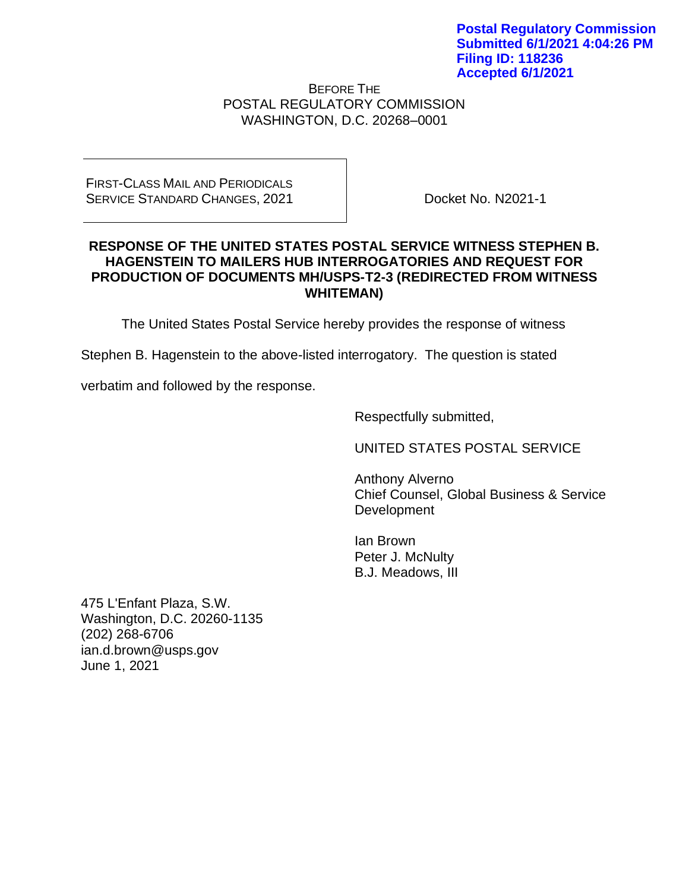BEFORE THE POSTAL REGULATORY COMMISSION WASHINGTON, D.C. 20268–0001

## FIRST-CLASS MAIL AND PERIODICALS SERVICE STANDARD CHANGES, 2021

Docket No. N2021-1

## **RESPONSE OF THE UNITED STATES POSTAL SERVICE WITNESS STEPHEN B. HAGENSTEIN TO MAILERS HUB INTERROGATORIES AND REQUEST FOR PRODUCTION OF DOCUMENTS MH/USPS-T2-3 (REDIRECTED FROM WITNESS WHITEMAN)**

The United States Postal Service hereby provides the response of witness

Stephen B. Hagenstein to the above-listed interrogatory. The question is stated

verbatim and followed by the response.

Respectfully submitted,

UNITED STATES POSTAL SERVICE

Anthony Alverno Chief Counsel, Global Business & Service Development

Ian Brown Peter J. McNulty B.J. Meadows, III

475 L'Enfant Plaza, S.W. Washington, D.C. 20260-1135 (202) 268-6706 ian.d.brown@usps.gov June 1, 2021